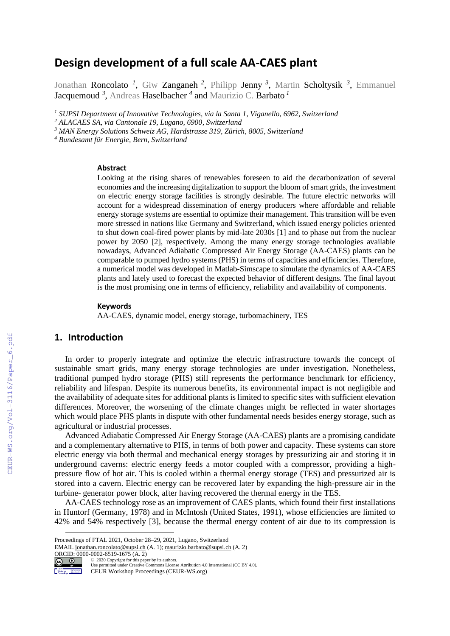# **Design development of a full scale AA-CAES plant**

Jonathan Roncolato<sup>1</sup>, Giw Zanganeh<sup>2</sup>, Philipp Jenny<sup>3</sup>, Martin Scholtysik<sup>3</sup>, Emmanuel Jacquemoud *<sup>3</sup>* , Andreas Haselbacher *<sup>4</sup>* and Maurizio C. Barbato *<sup>1</sup>*

*<sup>1</sup> SUPSI Department of Innovative Technologies, via la Santa 1, Viganello, 6962, Switzerland*

*<sup>2</sup> ALACAES SA, via Cantonale 19, Lugano, 6900, Switzerland*

*<sup>3</sup> MAN Energy Solutions Schweiz AG, Hardstrasse 319, Zürich, 8005, Switzerland*

*<sup>4</sup> Bundesamt für Energie, Bern, Switzerland*

#### **Abstract**

Looking at the rising shares of renewables foreseen to aid the decarbonization of several economies and the increasing digitalization to support the bloom of smart grids, the investment on electric energy storage facilities is strongly desirable. The future electric networks will account for a widespread dissemination of energy producers where affordable and reliable energy storage systems are essential to optimize their management. This transition will be even more stressed in nations like Germany and Switzerland, which issued energy policies oriented to shut down coal-fired power plants by mid-late 2030s [1] and to phase out from the nuclear power by 2050 [2], respectively. Among the many energy storage technologies available nowadays, Advanced Adiabatic Compressed Air Energy Storage (AA-CAES) plants can be comparable to pumped hydro systems (PHS) in terms of capacities and efficiencies. Therefore, a numerical model was developed in Matlab-Simscape to simulate the dynamics of AA-CAES plants and lately used to forecast the expected behavior of different designs. The final layout is the most promising one in terms of efficiency, reliability and availability of components.

#### **Keywords 1**

AA-CAES, dynamic model, energy storage, turbomachinery, TES

### **1. Introduction**

In order to properly integrate and optimize the electric infrastructure towards the concept of sustainable smart grids, many energy storage technologies are under investigation. Nonetheless, traditional pumped hydro storage (PHS) still represents the performance benchmark for efficiency, reliability and lifespan. Despite its numerous benefits, its environmental impact is not negligible and the availability of adequate sites for additional plants is limited to specific sites with sufficient elevation differences. Moreover, the worsening of the climate changes might be reflected in water shortages which would place PHS plants in dispute with other fundamental needs besides energy storage, such as agricultural or industrial processes.

Advanced Adiabatic Compressed Air Energy Storage (AA-CAES) plants are a promising candidate and a complementary alternative to PHS, in terms of both power and capacity. These systems can store electric energy via both thermal and mechanical energy storages by pressurizing air and storing it in underground caverns: electric energy feeds a motor coupled with a compressor, providing a highpressure flow of hot air. This is cooled within a thermal energy storage (TES) and pressurized air is stored into a cavern. Electric energy can be recovered later by expanding the high-pressure air in the turbine- generator power block, after having recovered the thermal energy in the TES.

AA-CAES technology rose as an improvement of CAES plants, which found their first installations in Huntorf (Germany, 1978) and in McIntosh (United States, 1991), whose efficiencies are limited to 42% and 54% respectively [3], because the thermal energy content of air due to its compression is

EMAIL [jonathan.roncolato@supsi.ch](mailto:jonathan.roncolato@supsi.ch) (A. 1)[; maurizio.barbato@supsi.ch](mailto:maurizio.barbato@supsi.ch) (A. 2) ORCID:  $0000-0002-6519-1675$  (A. 2)<br>  $\odot$  2020 Copyright for this pape



Workshop Mortaneous

Use permitted under Creative Commons License Attribution 4.0 International (CC BY 4.0). CEUR Workshop Proceedings (CEUR-WS.org)

Proceedings of FTAL 2021, October 28–29, 2021, Lugano, Switzerland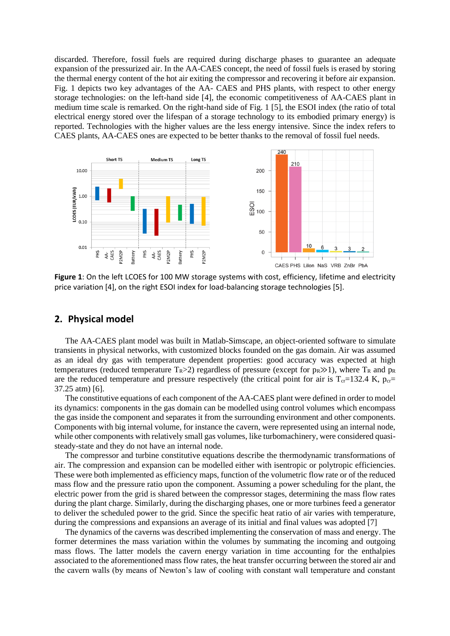discarded. Therefore, fossil fuels are required during discharge phases to guarantee an adequate expansion of the pressurized air. In the AA-CAES concept, the need of fossil fuels is erased by storing the thermal energy content of the hot air exiting the compressor and recovering it before air expansion. Fig. 1 depicts two key advantages of the AA- CAES and PHS plants, with respect to other energy storage technologies: on the left-hand side [4], the economic competitiveness of AA-CAES plant in medium time scale is remarked. On the right-hand side of Fig. 1 [5], the ESOI index (the ratio of total electrical energy stored over the lifespan of a storage technology to its embodied primary energy) is reported. Technologies with the higher values are the less energy intensive. Since the index refers to CAES plants, AA-CAES ones are expected to be better thanks to the removal of fossil fuel needs.



**Figure 1**: On the left LCOES for 100 MW storage systems with cost, efficiency, lifetime and electricity price variation [4], on the right ESOI index for load-balancing storage technologies [5].

### **2. Physical model**

The AA-CAES plant model was built in Matlab-Simscape, an object-oriented software to simulate transients in physical networks, with customized blocks founded on the gas domain. Air was assumed as an ideal dry gas with temperature dependent properties: good accuracy was expected at high temperatures (reduced temperature  $T_R$ >2) regardless of pressure (except for  $p_R \gg 1$ ), where  $T_R$  and  $p_R$ are the reduced temperature and pressure respectively (the critical point for air is  $T_{cr}=132.4$  K,  $p_{cr}=$ 37.25 atm) [6].

The constitutive equations of each component of the AA-CAES plant were defined in order to model its dynamics: components in the gas domain can be modelled using control volumes which encompass the gas inside the component and separates it from the surrounding environment and other components. Components with big internal volume, for instance the cavern, were represented using an internal node, while other components with relatively small gas volumes, like turbomachinery, were considered quasisteady-state and they do not have an internal node.

The compressor and turbine constitutive equations describe the thermodynamic transformations of air. The compression and expansion can be modelled either with isentropic or polytropic efficiencies. These were both implemented as efficiency maps, function of the volumetric flow rate or of the reduced mass flow and the pressure ratio upon the component. Assuming a power scheduling for the plant, the electric power from the grid is shared between the compressor stages, determining the mass flow rates during the plant charge. Similarly, during the discharging phases, one or more turbines feed a generator to deliver the scheduled power to the grid. Since the specific heat ratio of air varies with temperature, during the compressions and expansions an average of its initial and final values was adopted [7]

The dynamics of the caverns was described implementing the conservation of mass and energy. The former determines the mass variation within the volumes by summating the incoming and outgoing mass flows. The latter models the cavern energy variation in time accounting for the enthalpies associated to the aforementioned mass flow rates, the heat transfer occurring between the stored air and the cavern walls (by means of Newton's law of cooling with constant wall temperature and constant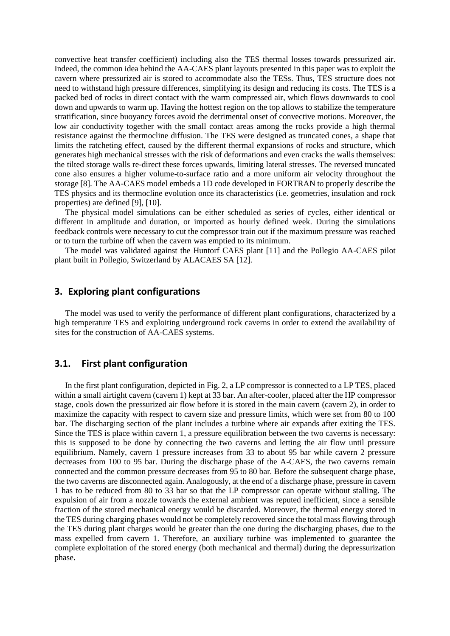convective heat transfer coefficient) including also the TES thermal losses towards pressurized air. Indeed, the common idea behind the AA-CAES plant layouts presented in this paper was to exploit the cavern where pressurized air is stored to accommodate also the TESs. Thus, TES structure does not need to withstand high pressure differences, simplifying its design and reducing its costs. The TES is a packed bed of rocks in direct contact with the warm compressed air, which flows downwards to cool down and upwards to warm up. Having the hottest region on the top allows to stabilize the temperature stratification, since buoyancy forces avoid the detrimental onset of convective motions. Moreover, the low air conductivity together with the small contact areas among the rocks provide a high thermal resistance against the thermocline diffusion. The TES were designed as truncated cones, a shape that limits the ratcheting effect, caused by the different thermal expansions of rocks and structure, which generates high mechanical stresses with the risk of deformations and even cracks the walls themselves: the tilted storage walls re-direct these forces upwards, limiting lateral stresses. The reversed truncated cone also ensures a higher volume-to-surface ratio and a more uniform air velocity throughout the storage [8]. The AA-CAES model embeds a 1D code developed in FORTRAN to properly describe the TES physics and its thermocline evolution once its characteristics (i.e. geometries, insulation and rock properties) are defined [9], [10].

The physical model simulations can be either scheduled as series of cycles, either identical or different in amplitude and duration, or imported as hourly defined week. During the simulations feedback controls were necessary to cut the compressor train out if the maximum pressure was reached or to turn the turbine off when the cavern was emptied to its minimum.

The model was validated against the Huntorf CAES plant [11] and the Pollegio AA-CAES pilot plant built in Pollegio, Switzerland by ALACAES SA [12].

## **3. Exploring plant configurations**

The model was used to verify the performance of different plant configurations, characterized by a high temperature TES and exploiting underground rock caverns in order to extend the availability of sites for the construction of AA-CAES systems.

### **3.1. First plant configuration**

In the first plant configuration, depicted in Fig. 2, a LP compressor is connected to a LP TES, placed within a small airtight cavern (cavern 1) kept at 33 bar. An after-cooler, placed after the HP compressor stage, cools down the pressurized air flow before it is stored in the main cavern (cavern 2), in order to maximize the capacity with respect to cavern size and pressure limits, which were set from 80 to 100 bar. The discharging section of the plant includes a turbine where air expands after exiting the TES. Since the TES is place within cavern 1, a pressure equilibration between the two caverns is necessary: this is supposed to be done by connecting the two caverns and letting the air flow until pressure equilibrium. Namely, cavern 1 pressure increases from 33 to about 95 bar while cavern 2 pressure decreases from 100 to 95 bar. During the discharge phase of the A-CAES, the two caverns remain connected and the common pressure decreases from 95 to 80 bar. Before the subsequent charge phase, the two caverns are disconnected again. Analogously, at the end of a discharge phase, pressure in cavern 1 has to be reduced from 80 to 33 bar so that the LP compressor can operate without stalling. The expulsion of air from a nozzle towards the external ambient was reputed inefficient, since a sensible fraction of the stored mechanical energy would be discarded. Moreover, the thermal energy stored in the TES during charging phases would not be completely recovered since the total mass flowing through the TES during plant charges would be greater than the one during the discharging phases, due to the mass expelled from cavern 1. Therefore, an auxiliary turbine was implemented to guarantee the complete exploitation of the stored energy (both mechanical and thermal) during the depressurization phase.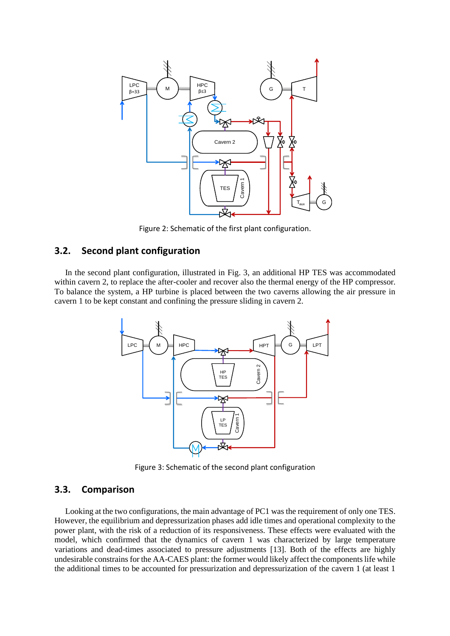

Figure 2: Schematic of the first plant configuration.

# **3.2. Second plant configuration**

In the second plant configuration, illustrated in Fig. 3, an additional HP TES was accommodated within cavern 2, to replace the after-cooler and recover also the thermal energy of the HP compressor. To balance the system, a HP turbine is placed between the two caverns allowing the air pressure in cavern 1 to be kept constant and confining the pressure sliding in cavern 2.



Figure 3: Schematic of the second plant configuration

### **3.3. Comparison**

Looking at the two configurations, the main advantage of PC1 was the requirement of only one TES. However, the equilibrium and depressurization phases add idle times and operational complexity to the power plant, with the risk of a reduction of its responsiveness. These effects were evaluated with the model, which confirmed that the dynamics of cavern 1 was characterized by large temperature variations and dead-times associated to pressure adjustments [13]. Both of the effects are highly undesirable constrains for the AA-CAES plant: the former would likely affect the components life while the additional times to be accounted for pressurization and depressurization of the cavern 1 (at least 1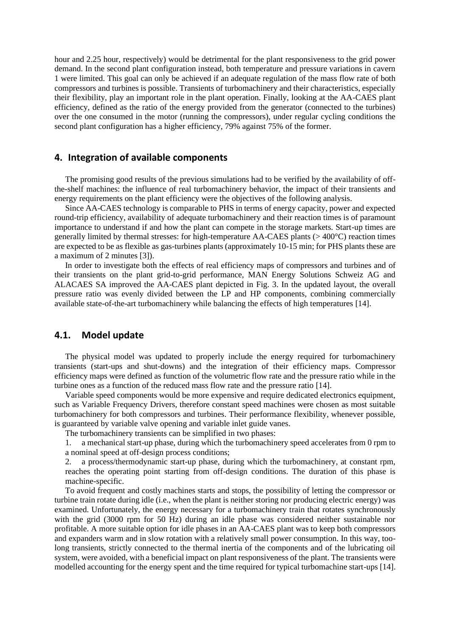hour and 2.25 hour, respectively) would be detrimental for the plant responsiveness to the grid power demand. In the second plant configuration instead, both temperature and pressure variations in cavern 1 were limited. This goal can only be achieved if an adequate regulation of the mass flow rate of both compressors and turbines is possible. Transients of turbomachinery and their characteristics, especially their flexibility, play an important role in the plant operation. Finally, looking at the AA-CAES plant efficiency, defined as the ratio of the energy provided from the generator (connected to the turbines) over the one consumed in the motor (running the compressors), under regular cycling conditions the second plant configuration has a higher efficiency, 79% against 75% of the former.

### **4. Integration of available components**

The promising good results of the previous simulations had to be verified by the availability of offthe-shelf machines: the influence of real turbomachinery behavior, the impact of their transients and energy requirements on the plant efficiency were the objectives of the following analysis.

Since AA-CAES technology is comparable to PHS in terms of energy capacity, power and expected round-trip efficiency, availability of adequate turbomachinery and their reaction times is of paramount importance to understand if and how the plant can compete in the storage markets. Start-up times are generally limited by thermal stresses: for high-temperature AA-CAES plants (> 400°C) reaction times are expected to be as flexible as gas-turbines plants (approximately 10-15 min; for PHS plants these are a maximum of 2 minutes [3]).

In order to investigate both the effects of real efficiency maps of compressors and turbines and of their transients on the plant grid-to-grid performance, MAN Energy Solutions Schweiz AG and ALACAES SA improved the AA-CAES plant depicted in Fig. 3. In the updated layout, the overall pressure ratio was evenly divided between the LP and HP components, combining commercially available state-of-the-art turbomachinery while balancing the effects of high temperatures [14].

### **4.1. Model update**

The physical model was updated to properly include the energy required for turbomachinery transients (start-ups and shut-downs) and the integration of their efficiency maps. Compressor efficiency maps were defined as function of the volumetric flow rate and the pressure ratio while in the turbine ones as a function of the reduced mass flow rate and the pressure ratio [14].

Variable speed components would be more expensive and require dedicated electronics equipment, such as Variable Frequency Drivers, therefore constant speed machines were chosen as most suitable turbomachinery for both compressors and turbines. Their performance flexibility, whenever possible, is guaranteed by variable valve opening and variable inlet guide vanes.

The turbomachinery transients can be simplified in two phases:

1. a mechanical start-up phase, during which the turbomachinery speed accelerates from 0 rpm to a nominal speed at off-design process conditions;

2. a process/thermodynamic start-up phase, during which the turbomachinery, at constant rpm, reaches the operating point starting from off-design conditions. The duration of this phase is machine-specific.

To avoid frequent and costly machines starts and stops, the possibility of letting the compressor or turbine train rotate during idle (i.e., when the plant is neither storing nor producing electric energy) was examined. Unfortunately, the energy necessary for a turbomachinery train that rotates synchronously with the grid (3000 rpm for 50 Hz) during an idle phase was considered neither sustainable nor profitable. A more suitable option for idle phases in an AA-CAES plant was to keep both compressors and expanders warm and in slow rotation with a relatively small power consumption. In this way, toolong transients, strictly connected to the thermal inertia of the components and of the lubricating oil system, were avoided, with a beneficial impact on plant responsiveness of the plant. The transients were modelled accounting for the energy spent and the time required for typical turbomachine start-ups [14].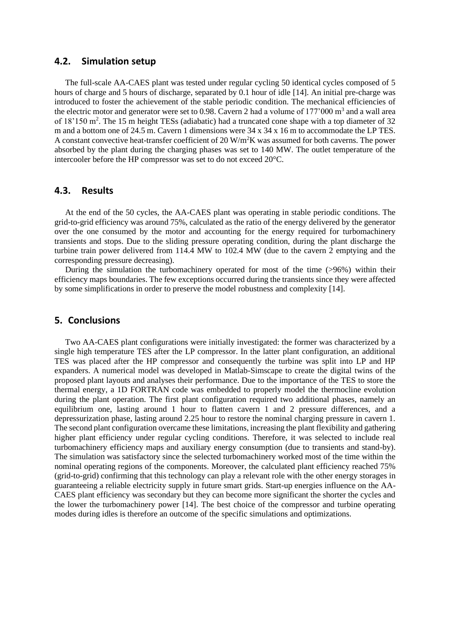#### **4.2. Simulation setup**

The full-scale AA-CAES plant was tested under regular cycling 50 identical cycles composed of 5 hours of charge and 5 hours of discharge, separated by 0.1 hour of idle [14]. An initial pre-charge was introduced to foster the achievement of the stable periodic condition. The mechanical efficiencies of the electric motor and generator were set to 0.98. Cavern 2 had a volume of  $177'000 \text{ m}^3$  and a wall area of 18'150 m<sup>2</sup>. The 15 m height TESs (adiabatic) had a truncated cone shape with a top diameter of 32 m and a bottom one of 24.5 m. Cavern 1 dimensions were 34 x 34 x 16 m to accommodate the LP TES. A constant convective heat-transfer coefficient of 20 W/m<sup>2</sup>K was assumed for both caverns. The power absorbed by the plant during the charging phases was set to 140 MW. The outlet temperature of the intercooler before the HP compressor was set to do not exceed 20°C.

### **4.3. Results**

At the end of the 50 cycles, the AA-CAES plant was operating in stable periodic conditions. The grid-to-grid efficiency was around 75%, calculated as the ratio of the energy delivered by the generator over the one consumed by the motor and accounting for the energy required for turbomachinery transients and stops. Due to the sliding pressure operating condition, during the plant discharge the turbine train power delivered from 114.4 MW to 102.4 MW (due to the cavern 2 emptying and the corresponding pressure decreasing).

During the simulation the turbomachinery operated for most of the time (>96%) within their efficiency maps boundaries. The few exceptions occurred during the transients since they were affected by some simplifications in order to preserve the model robustness and complexity [14].

### **5. Conclusions**

Two AA-CAES plant configurations were initially investigated: the former was characterized by a single high temperature TES after the LP compressor. In the latter plant configuration, an additional TES was placed after the HP compressor and consequently the turbine was split into LP and HP expanders. A numerical model was developed in Matlab-Simscape to create the digital twins of the proposed plant layouts and analyses their performance. Due to the importance of the TES to store the thermal energy, a 1D FORTRAN code was embedded to properly model the thermocline evolution during the plant operation. The first plant configuration required two additional phases, namely an equilibrium one, lasting around 1 hour to flatten cavern 1 and 2 pressure differences, and a depressurization phase, lasting around 2.25 hour to restore the nominal charging pressure in cavern 1. The second plant configuration overcame these limitations, increasing the plant flexibility and gathering higher plant efficiency under regular cycling conditions. Therefore, it was selected to include real turbomachinery efficiency maps and auxiliary energy consumption (due to transients and stand-by). The simulation was satisfactory since the selected turbomachinery worked most of the time within the nominal operating regions of the components. Moreover, the calculated plant efficiency reached 75% (grid-to-grid) confirming that this technology can play a relevant role with the other energy storages in guaranteeing a reliable electricity supply in future smart grids. Start-up energies influence on the AA-CAES plant efficiency was secondary but they can become more significant the shorter the cycles and the lower the turbomachinery power [14]. The best choice of the compressor and turbine operating modes during idles is therefore an outcome of the specific simulations and optimizations.